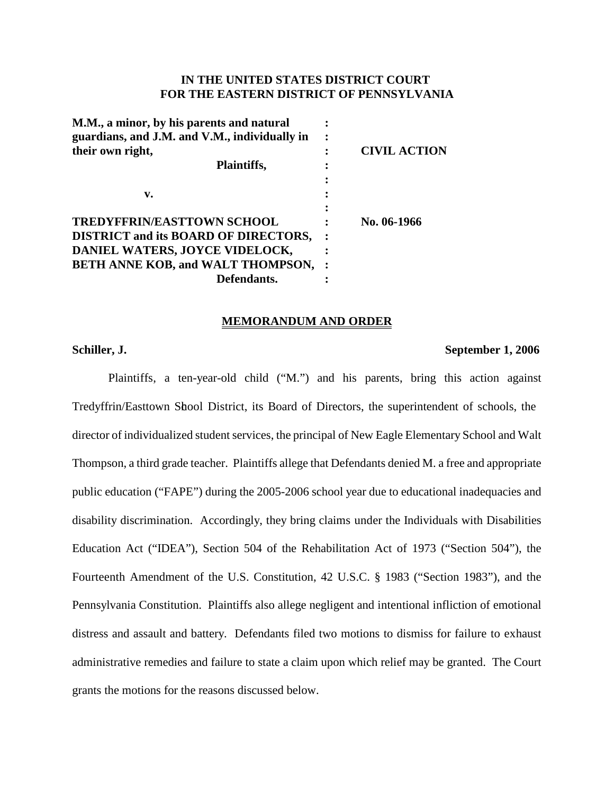## **IN THE UNITED STATES DISTRICT COURT FOR THE EASTERN DISTRICT OF PENNSYLVANIA**

| M.M., a minor, by his parents and natural<br>guardians, and J.M. and V.M., individually in |                     |
|--------------------------------------------------------------------------------------------|---------------------|
| their own right,                                                                           | <b>CIVIL ACTION</b> |
| Plaintiffs,                                                                                |                     |
|                                                                                            |                     |
| v.                                                                                         |                     |
|                                                                                            |                     |
| <b>TREDYFFRIN/EASTTOWN SCHOOL</b>                                                          | No. 06-1966         |
| <b>DISTRICT and its BOARD OF DIRECTORS,</b>                                                |                     |
| DANIEL WATERS, JOYCE VIDELOCK,                                                             |                     |
| <b>BETH ANNE KOB, and WALT THOMPSON,</b>                                                   |                     |
| Defendants.                                                                                |                     |
|                                                                                            |                     |

#### **MEMORANDUM AND ORDER**

#### **Schiller, J. September 1, 2006**

Plaintiffs, a ten-year-old child ("M.") and his parents, bring this action against Tredyffrin/Easttown Shool District, its Board of Directors, the superintendent of schools, the director of individualized student services, the principal of New Eagle Elementary School and Walt Thompson, a third grade teacher. Plaintiffs allege that Defendants denied M. a free and appropriate public education ("FAPE") during the 2005-2006 school year due to educational inadequacies and disability discrimination. Accordingly, they bring claims under the Individuals with Disabilities Education Act ("IDEA"), Section 504 of the Rehabilitation Act of 1973 ("Section 504"), the Fourteenth Amendment of the U.S. Constitution, 42 U.S.C. § 1983 ("Section 1983"), and the Pennsylvania Constitution. Plaintiffs also allege negligent and intentional infliction of emotional distress and assault and battery. Defendants filed two motions to dismiss for failure to exhaust administrative remedies and failure to state a claim upon which relief may be granted. The Court grants the motions for the reasons discussed below.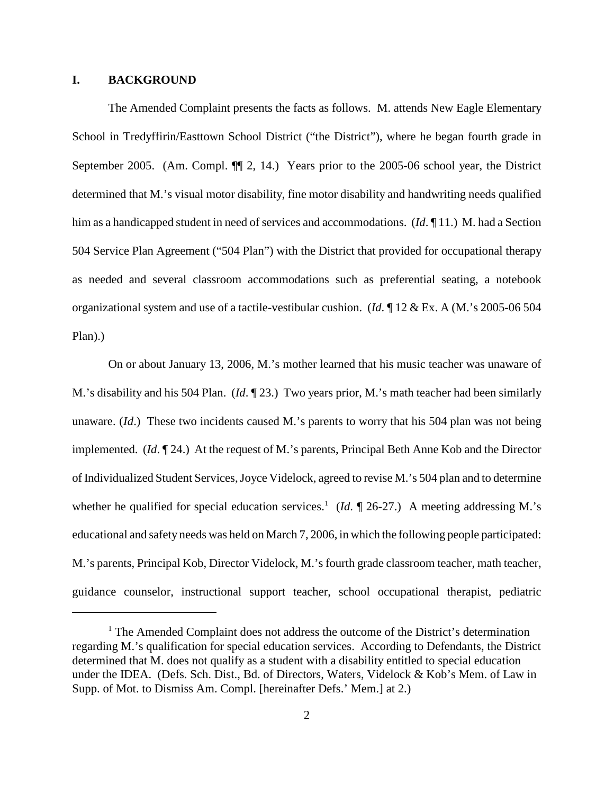#### **I. BACKGROUND**

The Amended Complaint presents the facts as follows. M. attends New Eagle Elementary School in Tredyffirin/Easttown School District ("the District"), where he began fourth grade in September 2005. (Am. Compl.  $\P$ , 2, 14.) Years prior to the 2005-06 school year, the District determined that M.'s visual motor disability, fine motor disability and handwriting needs qualified him as a handicapped student in need of services and accommodations. (*Id*. 11.) M. had a Section 504 Service Plan Agreement ("504 Plan") with the District that provided for occupational therapy as needed and several classroom accommodations such as preferential seating, a notebook organizational system and use of a tactile-vestibular cushion. (*Id*. ¶ 12 & Ex. A (M.'s 2005-06 504 Plan).)

On or about January 13, 2006, M.'s mother learned that his music teacher was unaware of M.'s disability and his 504 Plan. (*Id*. ¶ 23.) Two years prior, M.'s math teacher had been similarly unaware. (*Id*.) These two incidents caused M.'s parents to worry that his 504 plan was not being implemented. (*Id*. ¶ 24.) At the request of M.'s parents, Principal Beth Anne Kob and the Director of Individualized Student Services,Joyce Videlock, agreed to revise M.'s 504 plan and to determine whether he qualified for special education services.<sup>1</sup> (*Id.*  $\P$  26-27.) A meeting addressing M.'s educational and safety needs was held on March 7, 2006, in which the following people participated: M.'s parents, Principal Kob, Director Videlock, M.'s fourth grade classroom teacher, math teacher, guidance counselor, instructional support teacher, school occupational therapist, pediatric

<sup>&</sup>lt;sup>1</sup> The Amended Complaint does not address the outcome of the District's determination regarding M.'s qualification for special education services. According to Defendants, the District determined that M. does not qualify as a student with a disability entitled to special education under the IDEA. (Defs. Sch. Dist., Bd. of Directors, Waters, Videlock & Kob's Mem. of Law in Supp. of Mot. to Dismiss Am. Compl. [hereinafter Defs.' Mem.] at 2.)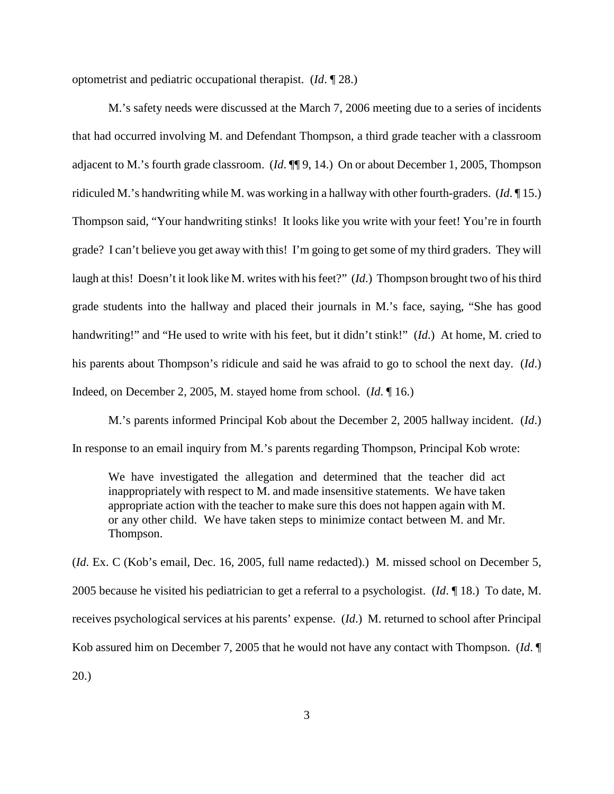optometrist and pediatric occupational therapist. (*Id*. ¶ 28.)

M.'s safety needs were discussed at the March 7, 2006 meeting due to a series of incidents that had occurred involving M. and Defendant Thompson, a third grade teacher with a classroom adjacent to M.'s fourth grade classroom. (*Id*. ¶¶ 9, 14.) On or about December 1, 2005, Thompson ridiculed M.'s handwriting while M. was working in a hallway with other fourth-graders. (*Id*. ¶ 15.) Thompson said, "Your handwriting stinks! It looks like you write with your feet! You're in fourth grade? I can't believe you get away with this! I'm going to get some of my third graders. They will laugh at this! Doesn't it look like M. writes with his feet?" (*Id*.) Thompson brought two of his third grade students into the hallway and placed their journals in M.'s face, saying, "She has good handwriting!" and "He used to write with his feet, but it didn't stink!" (*Id*.) At home, M. cried to his parents about Thompson's ridicule and said he was afraid to go to school the next day. (*Id*.) Indeed, on December 2, 2005, M. stayed home from school. (*Id*. ¶ 16.)

M.'s parents informed Principal Kob about the December 2, 2005 hallway incident. (*Id*.) In response to an email inquiry from M.'s parents regarding Thompson, Principal Kob wrote:

We have investigated the allegation and determined that the teacher did act inappropriately with respect to M. and made insensitive statements. We have taken appropriate action with the teacher to make sure this does not happen again with M. or any other child. We have taken steps to minimize contact between M. and Mr. Thompson.

(*Id*. Ex. C (Kob's email, Dec. 16, 2005, full name redacted).) M. missed school on December 5, 2005 because he visited his pediatrician to get a referral to a psychologist. (*Id*. ¶ 18.) To date, M. receives psychological services at his parents' expense. (*Id*.) M. returned to school after Principal Kob assured him on December 7, 2005 that he would not have any contact with Thompson. (*Id*. ¶ 20.)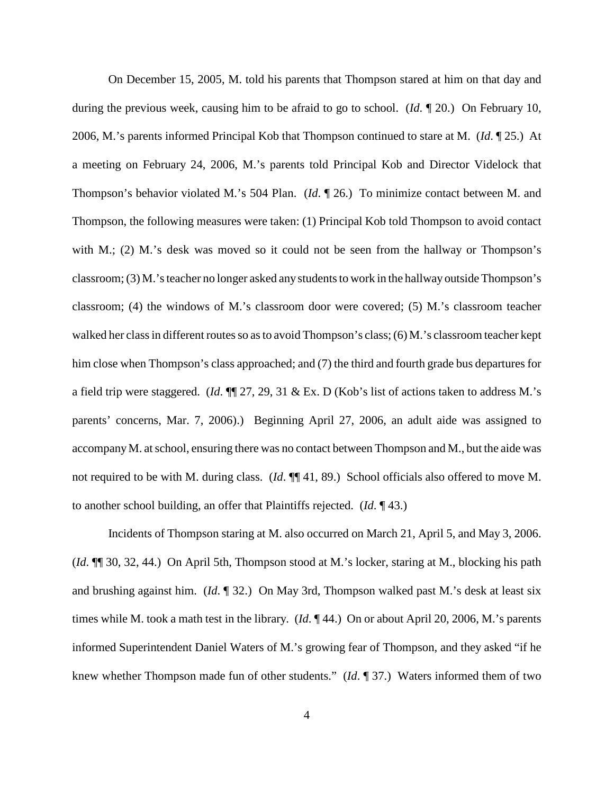On December 15, 2005, M. told his parents that Thompson stared at him on that day and during the previous week, causing him to be afraid to go to school. (*Id*. ¶ 20.) On February 10, 2006, M.'s parents informed Principal Kob that Thompson continued to stare at M. (*Id*. ¶ 25.) At a meeting on February 24, 2006, M.'s parents told Principal Kob and Director Videlock that Thompson's behavior violated M.'s 504 Plan. (*Id*. ¶ 26.) To minimize contact between M. and Thompson, the following measures were taken: (1) Principal Kob told Thompson to avoid contact with M.; (2) M.'s desk was moved so it could not be seen from the hallway or Thompson's classroom; (3) M.'s teacher no longer asked any students to work in the hallway outside Thompson's classroom; (4) the windows of M.'s classroom door were covered; (5) M.'s classroom teacher walked her class in different routes so as to avoid Thompson's class; (6) M.'s classroom teacher kept him close when Thompson's class approached; and (7) the third and fourth grade bus departures for a field trip were staggered. (*Id*. ¶¶ 27, 29, 31 & Ex. D (Kob's list of actions taken to address M.'s parents' concerns, Mar. 7, 2006).) Beginning April 27, 2006, an adult aide was assigned to accompanyM. atschool, ensuring there was no contact between Thompson and M., but the aide was not required to be with M. during class. (*Id*. ¶¶ 41, 89.) School officials also offered to move M. to another school building, an offer that Plaintiffs rejected. (*Id*. ¶ 43.)

Incidents of Thompson staring at M. also occurred on March 21, April 5, and May 3, 2006. (*Id*. ¶¶ 30, 32, 44.) On April 5th, Thompson stood at M.'s locker, staring at M., blocking his path and brushing against him. (*Id*. ¶ 32.) On May 3rd, Thompson walked past M.'s desk at least six times while M. took a math test in the library. (*Id*. ¶ 44.) On or about April 20, 2006, M.'s parents informed Superintendent Daniel Waters of M.'s growing fear of Thompson, and they asked "if he knew whether Thompson made fun of other students." (*Id*. ¶ 37.) Waters informed them of two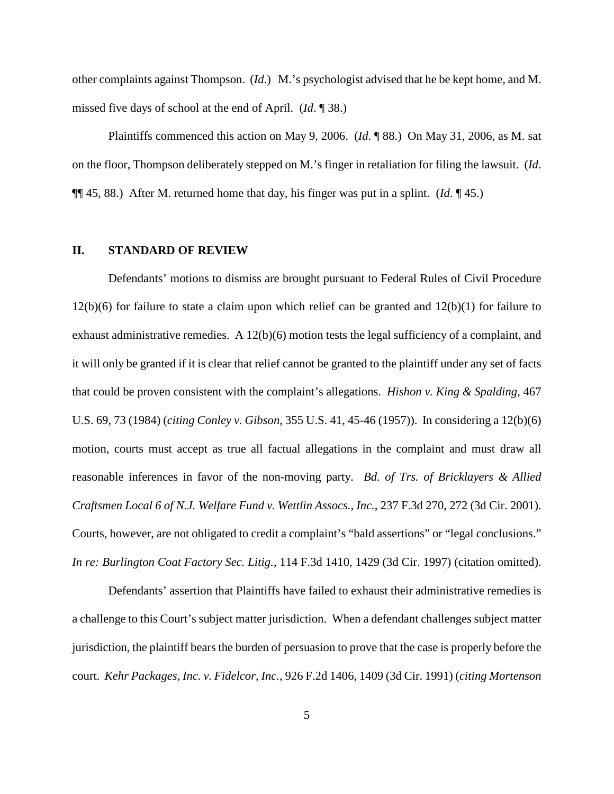other complaints against Thompson. (*Id*.) M.'s psychologist advised that he be kept home, and M. missed five days of school at the end of April. (*Id*. ¶ 38.)

Plaintiffs commenced this action on May 9, 2006. (*Id*. ¶ 88.) On May 31, 2006, as M. sat on the floor, Thompson deliberately stepped on M.'s finger in retaliation for filing the lawsuit. (*Id*. ¶¶ 45, 88.) After M. returned home that day, his finger was put in a splint. (*Id*. ¶ 45.)

#### **II. STANDARD OF REVIEW**

Defendants' motions to dismiss are brought pursuant to Federal Rules of Civil Procedure  $12(b)(6)$  for failure to state a claim upon which relief can be granted and  $12(b)(1)$  for failure to exhaust administrative remedies. A  $12(b)(6)$  motion tests the legal sufficiency of a complaint, and it will only be granted if it is clear that relief cannot be granted to the plaintiff under any set of facts that could be proven consistent with the complaint's allegations. *Hishon v. King & Spalding*, 467 U.S. 69, 73 (1984) (*citing Conley v. Gibson*, 355 U.S. 41, 45-46 (1957)). In considering a 12(b)(6) motion, courts must accept as true all factual allegations in the complaint and must draw all reasonable inferences in favor of the non-moving party. *Bd. of Trs. of Bricklayers & Allied Craftsmen Local 6 of N.J. Welfare Fund v. Wettlin Assocs., Inc.*, 237 F.3d 270, 272 (3d Cir. 2001). Courts, however, are not obligated to credit a complaint's "bald assertions" or "legal conclusions." *In re: Burlington Coat Factory Sec. Litig.*, 114 F.3d 1410, 1429 (3d Cir. 1997) (citation omitted).

Defendants' assertion that Plaintiffs have failed to exhaust their administrative remedies is a challenge to this Court's subject matter jurisdiction. When a defendant challenges subject matter jurisdiction, the plaintiff bears the burden of persuasion to prove that the case is properly before the court. *Kehr Packages, Inc. v. Fidelcor, Inc.*, 926 F.2d 1406, 1409 (3d Cir. 1991) (*citing Mortenson*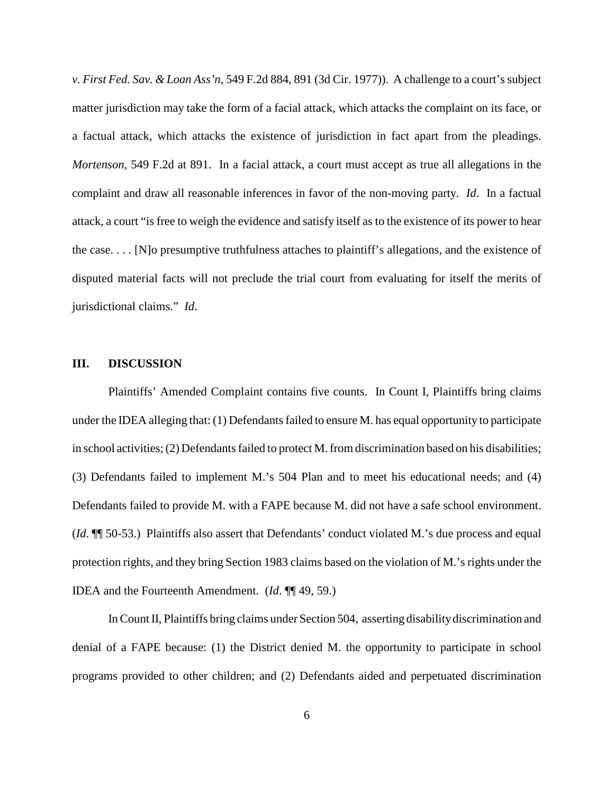*v. First Fed. Sav. & Loan Ass'n*, 549 F.2d 884, 891 (3d Cir. 1977)). A challenge to a court's subject matter jurisdiction may take the form of a facial attack, which attacks the complaint on its face, or a factual attack, which attacks the existence of jurisdiction in fact apart from the pleadings. *Mortenson*, 549 F.2d at 891. In a facial attack, a court must accept as true all allegations in the complaint and draw all reasonable inferences in favor of the non-moving party. *Id*. In a factual attack, a court "is free to weigh the evidence and satisfy itself as to the existence of its power to hear the case. . . . [N]o presumptive truthfulness attaches to plaintiff's allegations, and the existence of disputed material facts will not preclude the trial court from evaluating for itself the merits of jurisdictional claims." *Id*.

#### **III. DISCUSSION**

Plaintiffs' Amended Complaint contains five counts. In Count I, Plaintiffs bring claims under the IDEA alleging that:  $(1)$  Defendants failed to ensure M. has equal opportunity to participate in school activities; (2) Defendants failed to protect M. from discrimination based on his disabilities; (3) Defendants failed to implement M.'s 504 Plan and to meet his educational needs; and (4) Defendants failed to provide M. with a FAPE because M. did not have a safe school environment. (*Id*. ¶¶ 50-53.) Plaintiffs also assert that Defendants' conduct violated M.'s due process and equal protection rights, and they bring Section 1983 claims based on the violation of M.'s rights under the IDEA and the Fourteenth Amendment. (*Id*. ¶¶ 49, 59.)

InCountII, Plaintiffs bring claims under Section 504, asserting disability discrimination and denial of a FAPE because: (1) the District denied M. the opportunity to participate in school programs provided to other children; and (2) Defendants aided and perpetuated discrimination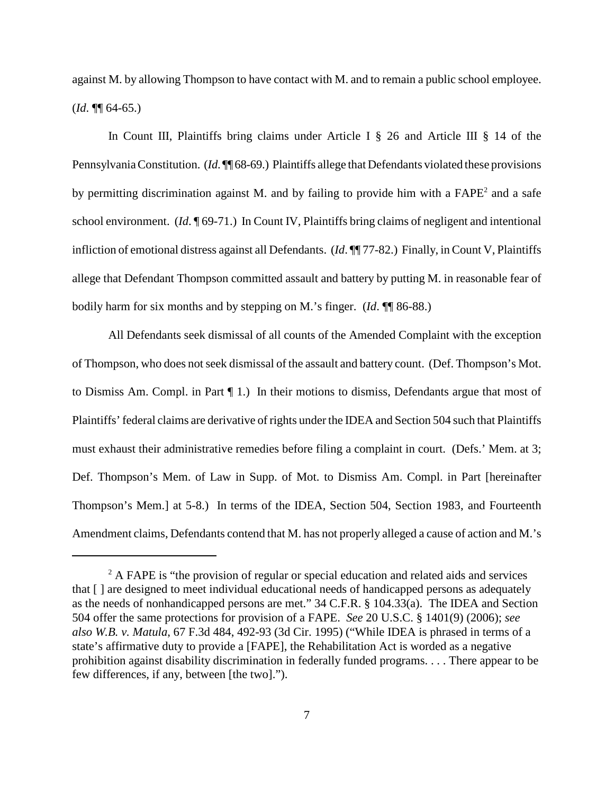against M. by allowing Thompson to have contact with M. and to remain a public school employee. (*Id*. ¶¶ 64-65.)

In Count III, Plaintiffs bring claims under Article I § 26 and Article III § 14 of the Pennsylvania Constitution. (*Id.* ¶ 68-69.) Plaintiffs allege that Defendants violated these provisions by permitting discrimination against M. and by failing to provide him with a  $FAPE<sup>2</sup>$  and a safe school environment. (*Id*. ¶ 69-71.) In Count IV, Plaintiffs bring claims of negligent and intentional infliction of emotional distress against all Defendants. (*Id*. ¶¶ 77-82.) Finally, in Count V, Plaintiffs allege that Defendant Thompson committed assault and battery by putting M. in reasonable fear of bodily harm for six months and by stepping on M.'s finger. (*Id*. ¶¶ 86-88.)

All Defendants seek dismissal of all counts of the Amended Complaint with the exception of Thompson, who does not seek dismissal of the assault and battery count. (Def. Thompson's Mot. to Dismiss Am. Compl. in Part ¶ 1.) In their motions to dismiss, Defendants argue that most of Plaintiffs' federal claims are derivative of rights under the IDEA and Section 504 such that Plaintiffs must exhaust their administrative remedies before filing a complaint in court. (Defs.' Mem. at 3; Def. Thompson's Mem. of Law in Supp. of Mot. to Dismiss Am. Compl. in Part [hereinafter Thompson's Mem.] at 5-8.) In terms of the IDEA, Section 504, Section 1983, and Fourteenth Amendment claims, Defendants contend that M. has not properly alleged a cause of action and M.'s

<sup>&</sup>lt;sup>2</sup> A FAPE is "the provision of regular or special education and related aids and services that [ ] are designed to meet individual educational needs of handicapped persons as adequately as the needs of nonhandicapped persons are met." 34 C.F.R. § 104.33(a). The IDEA and Section 504 offer the same protections for provision of a FAPE. *See* 20 U.S.C. § 1401(9) (2006); *see also W.B. v. Matula*, 67 F.3d 484, 492-93 (3d Cir. 1995) ("While IDEA is phrased in terms of a state's affirmative duty to provide a [FAPE], the Rehabilitation Act is worded as a negative prohibition against disability discrimination in federally funded programs. . . . There appear to be few differences, if any, between [the two].").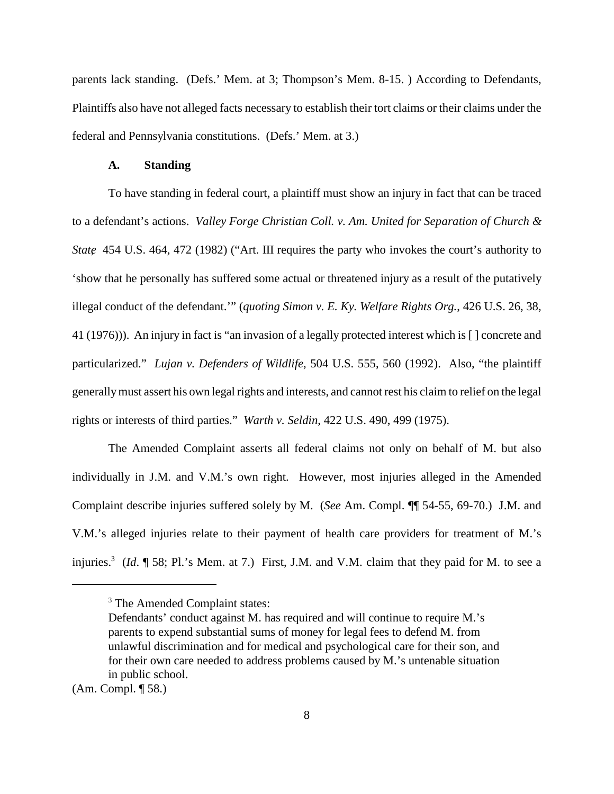parents lack standing. (Defs.' Mem. at 3; Thompson's Mem. 8-15. ) According to Defendants, Plaintiffs also have not alleged facts necessary to establish their tort claims or their claims under the federal and Pennsylvania constitutions. (Defs.' Mem. at 3.)

#### **A. Standing**

To have standing in federal court, a plaintiff must show an injury in fact that can be traced to a defendant's actions. *Valley Forge Christian Coll. v. Am. United for Separation of Church & State*, 454 U.S. 464, 472 (1982) ("Art. III requires the party who invokes the court's authority to 'show that he personally has suffered some actual or threatened injury as a result of the putatively illegal conduct of the defendant.'" (*quoting Simon v. E. Ky. Welfare Rights Org.*, 426 U.S. 26, 38, 41 (1976))). An injury in fact is "an invasion of a legally protected interest which is [ ] concrete and particularized." *Lujan v. Defenders of Wildlife*, 504 U.S. 555, 560 (1992). Also, "the plaintiff generallymust assert his own legal rights and interests, and cannot rest his claim to relief on the legal rights or interests of third parties." *Warth v. Seldin*, 422 U.S. 490, 499 (1975).

The Amended Complaint asserts all federal claims not only on behalf of M. but also individually in J.M. and V.M.'s own right. However, most injuries alleged in the Amended Complaint describe injuries suffered solely by M. (*See* Am. Compl. ¶¶ 54-55, 69-70.) J.M. and V.M.'s alleged injuries relate to their payment of health care providers for treatment of M.'s injuries.3 (*Id*. ¶ 58; Pl.'s Mem. at 7.) First, J.M. and V.M. claim that they paid for M. to see a

<sup>&</sup>lt;sup>3</sup> The Amended Complaint states:

Defendants' conduct against M. has required and will continue to require M.'s parents to expend substantial sums of money for legal fees to defend M. from unlawful discrimination and for medical and psychological care for their son, and for their own care needed to address problems caused by M.'s untenable situation in public school.

<sup>(</sup>Am. Compl. ¶ 58.)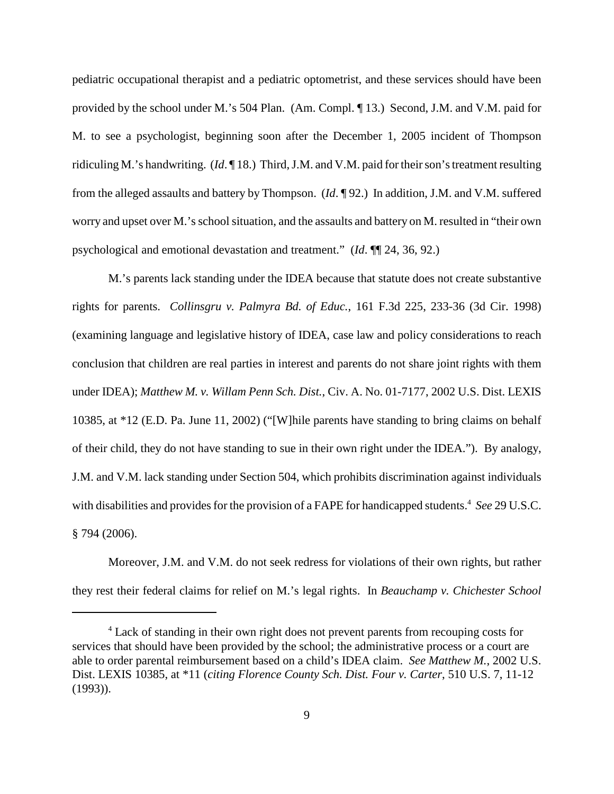pediatric occupational therapist and a pediatric optometrist, and these services should have been provided by the school under M.'s 504 Plan. (Am. Compl. ¶ 13.) Second, J.M. and V.M. paid for M. to see a psychologist, beginning soon after the December 1, 2005 incident of Thompson ridiculing M.'s handwriting. (*Id*. ¶ 18.) Third, J.M. and V.M. paid for their son's treatment resulting from the alleged assaults and battery by Thompson. (*Id*. ¶ 92.) In addition, J.M. and V.M. suffered worry and upset over M.'s school situation, and the assaults and battery on M. resulted in "their own" psychological and emotional devastation and treatment." (*Id*. ¶¶ 24, 36, 92.)

M.'s parents lack standing under the IDEA because that statute does not create substantive rights for parents. *Collinsgru v. Palmyra Bd. of Educ.*, 161 F.3d 225, 233-36 (3d Cir. 1998) (examining language and legislative history of IDEA, case law and policy considerations to reach conclusion that children are real parties in interest and parents do not share joint rights with them under IDEA); *Matthew M. v. Willam Penn Sch. Dist.*, Civ. A. No. 01-7177, 2002 U.S. Dist. LEXIS 10385, at \*12 (E.D. Pa. June 11, 2002) ("[W]hile parents have standing to bring claims on behalf of their child, they do not have standing to sue in their own right under the IDEA."). By analogy, J.M. and V.M. lack standing under Section 504, which prohibits discrimination against individuals with disabilities and provides for the provision of a FAPE for handicapped students.<sup>4</sup> *See* 29 U.S.C. § 794 (2006).

Moreover, J.M. and V.M. do not seek redress for violations of their own rights, but rather they rest their federal claims for relief on M.'s legal rights. In *Beauchamp v. Chichester School*

<sup>&</sup>lt;sup>4</sup> Lack of standing in their own right does not prevent parents from recouping costs for services that should have been provided by the school; the administrative process or a court are able to order parental reimbursement based on a child's IDEA claim. *See Matthew M.*, 2002 U.S. Dist. LEXIS 10385, at \*11 (*citing Florence County Sch. Dist. Four v. Carter*, 510 U.S. 7, 11-12 (1993)).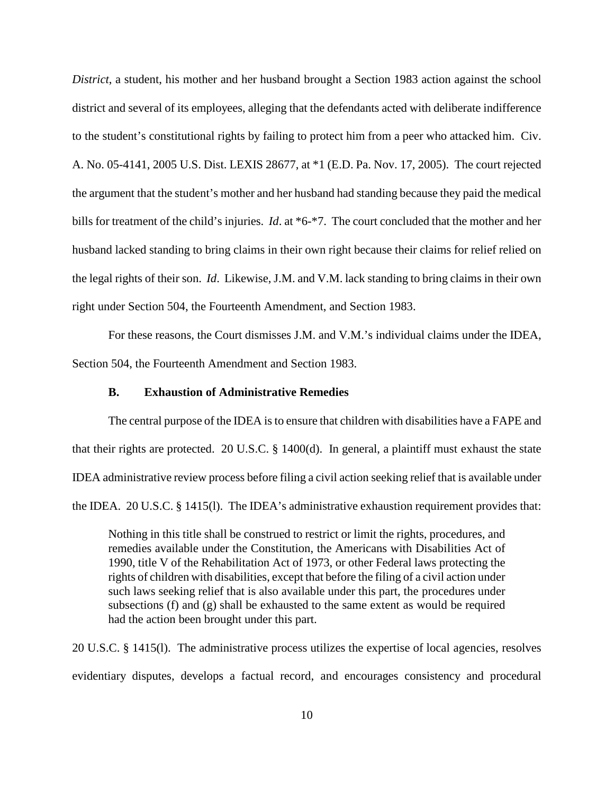*District*, a student, his mother and her husband brought a Section 1983 action against the school district and several of its employees, alleging that the defendants acted with deliberate indifference to the student's constitutional rights by failing to protect him from a peer who attacked him. Civ. A. No. 05-4141, 2005 U.S. Dist. LEXIS 28677, at \*1 (E.D. Pa. Nov. 17, 2005). The court rejected the argument that the student's mother and her husband had standing because they paid the medical bills for treatment of the child's injuries. *Id*. at \*6-\*7. The court concluded that the mother and her husband lacked standing to bring claims in their own right because their claims for relief relied on the legal rights of their son. *Id*. Likewise, J.M. and V.M. lack standing to bring claims in their own right under Section 504, the Fourteenth Amendment, and Section 1983.

For these reasons, the Court dismisses J.M. and V.M.'s individual claims under the IDEA, Section 504, the Fourteenth Amendment and Section 1983.

#### **B. Exhaustion of Administrative Remedies**

The central purpose of the IDEA is to ensure that children with disabilities have a FAPE and that their rights are protected. 20 U.S.C. § 1400(d). In general, a plaintiff must exhaust the state IDEA administrative review process before filing a civil action seeking relief that is available under the IDEA. 20 U.S.C. § 1415(l). The IDEA's administrative exhaustion requirement provides that:

Nothing in this title shall be construed to restrict or limit the rights, procedures, and remedies available under the Constitution, the Americans with Disabilities Act of 1990, title V of the Rehabilitation Act of 1973, or other Federal laws protecting the rights of children with disabilities, except that before the filing of a civil action under such laws seeking relief that is also available under this part, the procedures under subsections (f) and (g) shall be exhausted to the same extent as would be required had the action been brought under this part.

20 U.S.C. § 1415(l). The administrative process utilizes the expertise of local agencies, resolves evidentiary disputes, develops a factual record, and encourages consistency and procedural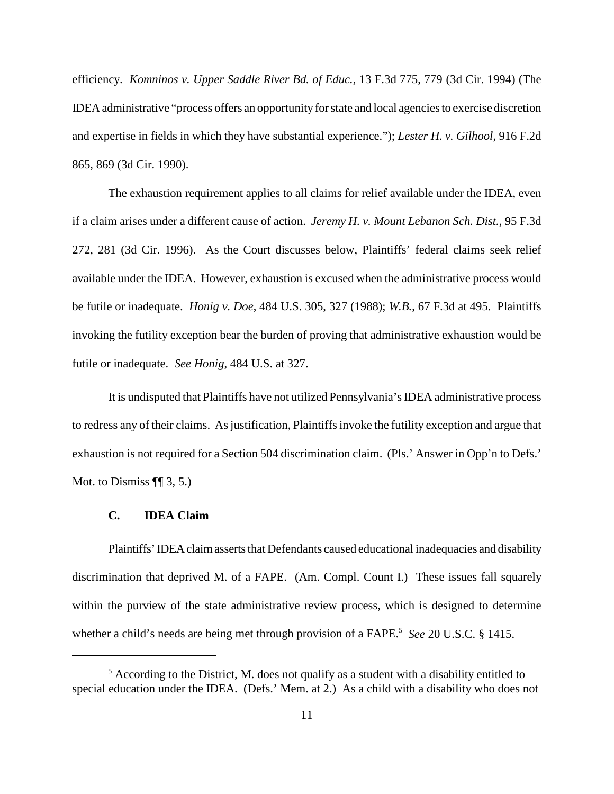efficiency. *Komninos v. Upper Saddle River Bd. of Educ.*, 13 F.3d 775, 779 (3d Cir. 1994) (The IDEA administrative "process offers an opportunity for state and local agencies to exercise discretion and expertise in fields in which they have substantial experience."); *Lester H. v. Gilhool*, 916 F.2d 865, 869 (3d Cir. 1990).

The exhaustion requirement applies to all claims for relief available under the IDEA, even if a claim arises under a different cause of action. *Jeremy H. v. Mount Lebanon Sch. Dist.*, 95 F.3d 272, 281 (3d Cir. 1996). As the Court discusses below, Plaintiffs' federal claims seek relief available under the IDEA. However, exhaustion is excused when the administrative process would be futile or inadequate. *Honig v. Doe*, 484 U.S. 305, 327 (1988); *W.B.*, 67 F.3d at 495. Plaintiffs invoking the futility exception bear the burden of proving that administrative exhaustion would be futile or inadequate. *See Honig*, 484 U.S. at 327.

It is undisputed that Plaintiffs have not utilized Pennsylvania'sIDEA administrative process to redress any of their claims. As justification, Plaintiffs invoke the futility exception and argue that exhaustion is not required for a Section 504 discrimination claim. (Pls.' Answer in Opp'n to Defs.' Mot. to Dismiss  $\P\P$  3, 5.)

#### **C. IDEA Claim**

Plaintiffs' IDEA claim asserts that Defendants caused educational inadequacies and disability discrimination that deprived M. of a FAPE. (Am. Compl. Count I.) These issues fall squarely within the purview of the state administrative review process, which is designed to determine whether a child's needs are being met through provision of a FAPE.<sup>5</sup> *See* 20 U.S.C. § 1415.

 $<sup>5</sup>$  According to the District, M. does not qualify as a student with a disability entitled to</sup> special education under the IDEA. (Defs.' Mem. at 2.) As a child with a disability who does not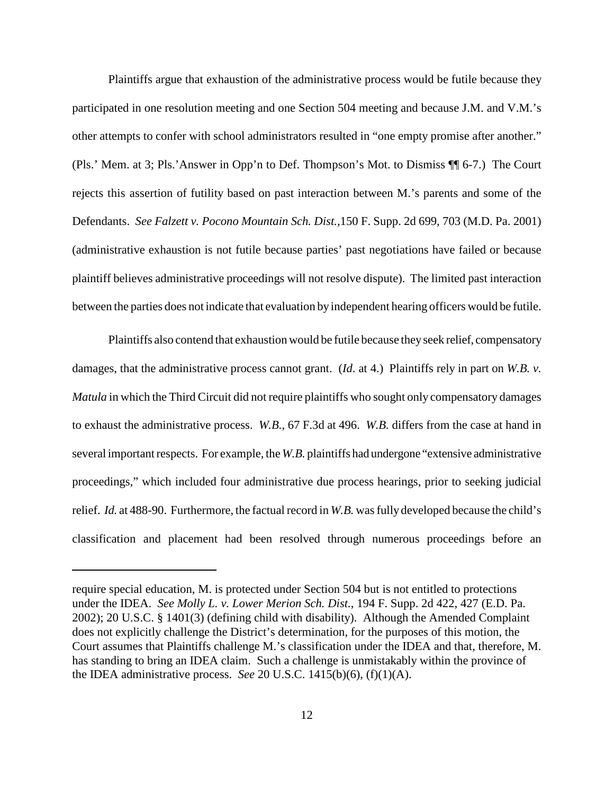Plaintiffs argue that exhaustion of the administrative process would be futile because they participated in one resolution meeting and one Section 504 meeting and because J.M. and V.M.'s other attempts to confer with school administrators resulted in "one empty promise after another." (Pls.' Mem. at 3; Pls.'Answer in Opp'n to Def. Thompson's Mot. to Dismiss ¶¶ 6-7.) The Court rejects this assertion of futility based on past interaction between M.'s parents and some of the Defendants. *See Falzett v. Pocono Mountain Sch. Dist.*,150 F. Supp. 2d 699, 703 (M.D. Pa. 2001) (administrative exhaustion is not futile because parties' past negotiations have failed or because plaintiff believes administrative proceedings will not resolve dispute). The limited past interaction between the parties does not indicate that evaluation by independent hearing officers would be futile.

Plaintiffs also contend that exhaustion would be futile because theyseek relief, compensatory damages, that the administrative process cannot grant. (*Id*. at 4.) Plaintiffs rely in part on *W.B. v. Matula* in which the Third Circuit did not require plaintiffs who sought only compensatory damages to exhaust the administrative process. *W.B.*, 67 F.3d at 496. *W.B.* differs from the case at hand in several important respects. For example, the W.B. plaintiffs had undergone "extensive administrative" proceedings," which included four administrative due process hearings, prior to seeking judicial relief. *Id.* at 488-90. Furthermore, the factual record in W.B. was fully developed because the child's classification and placement had been resolved through numerous proceedings before an

require special education, M. is protected under Section 504 but is not entitled to protections under the IDEA. *See Molly L. v. Lower Merion Sch. Dist.*, 194 F. Supp. 2d 422, 427 (E.D. Pa. 2002); 20 U.S.C. § 1401(3) (defining child with disability). Although the Amended Complaint does not explicitly challenge the District's determination, for the purposes of this motion, the Court assumes that Plaintiffs challenge M.'s classification under the IDEA and that, therefore, M. has standing to bring an IDEA claim. Such a challenge is unmistakably within the province of the IDEA administrative process. *See* 20 U.S.C. 1415(b)(6), (f)(1)(A).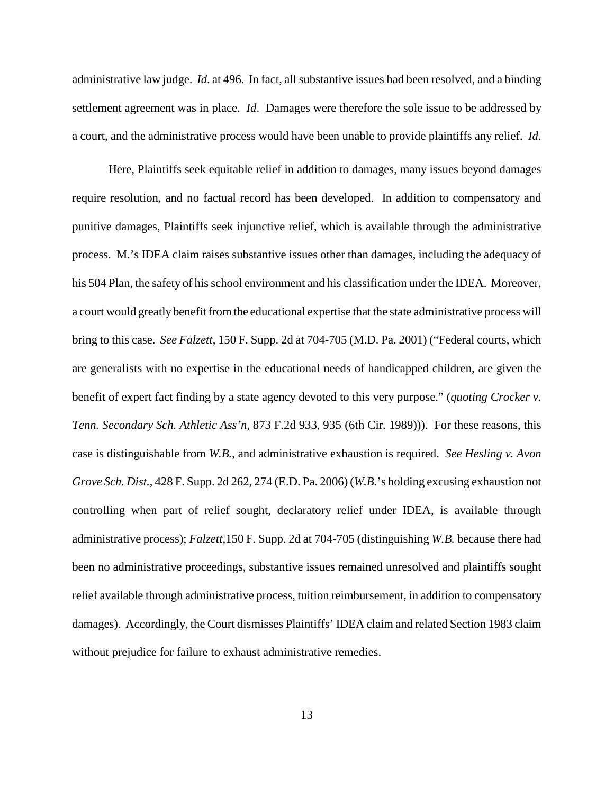administrative law judge. *Id*. at 496. In fact, all substantive issues had been resolved, and a binding settlement agreement was in place. *Id*. Damages were therefore the sole issue to be addressed by a court, and the administrative process would have been unable to provide plaintiffs any relief. *Id*.

Here, Plaintiffs seek equitable relief in addition to damages, many issues beyond damages require resolution, and no factual record has been developed. In addition to compensatory and punitive damages, Plaintiffs seek injunctive relief, which is available through the administrative process. M.'s IDEA claim raises substantive issues other than damages, including the adequacy of his 504 Plan, the safety of his school environment and his classification under the IDEA. Moreover, a court would greatly benefit from the educational expertise that the state administrative process will bring to this case. *See Falzett*, 150 F. Supp. 2d at 704-705 (M.D. Pa. 2001) ("Federal courts, which are generalists with no expertise in the educational needs of handicapped children, are given the benefit of expert fact finding by a state agency devoted to this very purpose." (*quoting Crocker v. Tenn. Secondary Sch. Athletic Ass'n*, 873 F.2d 933, 935 (6th Cir. 1989))). For these reasons, this case is distinguishable from *W.B.*, and administrative exhaustion is required. *See Hesling v. Avon Grove Sch. Dist.*, 428 F. Supp. 2d 262, 274 (E.D. Pa. 2006) (*W.B.*'s holding excusing exhaustion not controlling when part of relief sought, declaratory relief under IDEA, is available through administrative process); *Falzett*,150 F. Supp. 2d at 704-705 (distinguishing *W.B.* because there had been no administrative proceedings, substantive issues remained unresolved and plaintiffs sought relief available through administrative process, tuition reimbursement, in addition to compensatory damages). Accordingly, the Court dismisses Plaintiffs' IDEA claim and related Section 1983 claim without prejudice for failure to exhaust administrative remedies.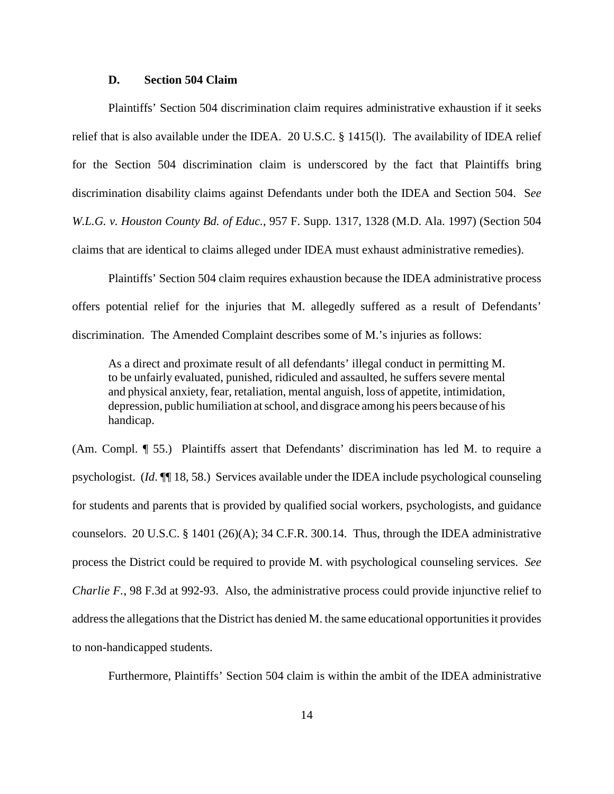#### **D. Section 504 Claim**

Plaintiffs' Section 504 discrimination claim requires administrative exhaustion if it seeks relief that is also available under the IDEA. 20 U.S.C. § 1415(l). The availability of IDEA relief for the Section 504 discrimination claim is underscored by the fact that Plaintiffs bring discrimination disability claims against Defendants under both the IDEA and Section 504. S*ee W.L.G. v. Houston County Bd. of Educ.*, 957 F. Supp. 1317, 1328 (M.D. Ala. 1997) (Section 504 claims that are identical to claims alleged under IDEA must exhaust administrative remedies).

Plaintiffs' Section 504 claim requires exhaustion because the IDEA administrative process offers potential relief for the injuries that M. allegedly suffered as a result of Defendants' discrimination. The Amended Complaint describes some of M.'s injuries as follows:

As a direct and proximate result of all defendants' illegal conduct in permitting M. to be unfairly evaluated, punished, ridiculed and assaulted, he suffers severe mental and physical anxiety, fear, retaliation, mental anguish, loss of appetite, intimidation, depression, public humiliation atschool, and disgrace among his peers because of his handicap.

(Am. Compl. ¶ 55.) Plaintiffs assert that Defendants' discrimination has led M. to require a psychologist. (*Id*. ¶¶ 18, 58.) Services available under the IDEA include psychological counseling for students and parents that is provided by qualified social workers, psychologists, and guidance counselors. 20 U.S.C. § 1401 (26)(A); 34 C.F.R. 300.14. Thus, through the IDEA administrative process the District could be required to provide M. with psychological counseling services. *See Charlie F.*, 98 F.3d at 992-93. Also, the administrative process could provide injunctive relief to address the allegations that the District has denied M. the same educational opportunities it provides to non-handicapped students.

Furthermore, Plaintiffs' Section 504 claim is within the ambit of the IDEA administrative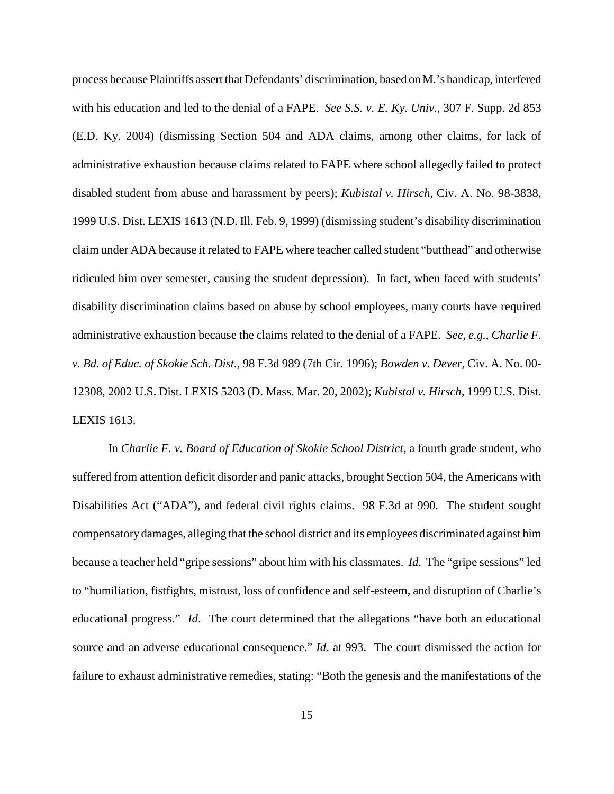process because Plaintiffs assert that Defendants' discrimination, based on M.'s handicap, interfered with his education and led to the denial of a FAPE. *See S.S. v. E. Ky. Univ.*, 307 F. Supp. 2d 853 (E.D. Ky. 2004) (dismissing Section 504 and ADA claims, among other claims, for lack of administrative exhaustion because claims related to FAPE where school allegedly failed to protect disabled student from abuse and harassment by peers); *Kubistal v. Hirsch*, Civ. A. No. 98-3838, 1999 U.S. Dist. LEXIS 1613 (N.D. Ill. Feb. 9, 1999) (dismissing student's disability discrimination claim under ADA because it related to FAPE where teacher called student "butthead" and otherwise ridiculed him over semester, causing the student depression). In fact, when faced with students' disability discrimination claims based on abuse by school employees, many courts have required administrative exhaustion because the claims related to the denial of a FAPE. *See, e.g.*, *Charlie F. v. Bd. of Educ. of Skokie Sch. Dist.*, 98 F.3d 989 (7th Cir. 1996); *Bowden v. Dever,* Civ. A. No. 00- 12308, 2002 U.S. Dist. LEXIS 5203 (D. Mass. Mar. 20, 2002); *Kubistal v. Hirsch*, 1999 U.S. Dist. LEXIS 1613.

In *Charlie F. v. Board of Education of Skokie School District*, a fourth grade student, who suffered from attention deficit disorder and panic attacks, brought Section 504, the Americans with Disabilities Act ("ADA"), and federal civil rights claims. 98 F.3d at 990. The student sought compensatory damages, alleging that the school district and its employees discriminated against him because a teacher held "gripe sessions" about him with his classmates. *Id*. The "gripe sessions" led to "humiliation, fistfights, mistrust, loss of confidence and self-esteem, and disruption of Charlie's educational progress." *Id*. The court determined that the allegations "have both an educational source and an adverse educational consequence." *Id*. at 993. The court dismissed the action for failure to exhaust administrative remedies, stating: "Both the genesis and the manifestations of the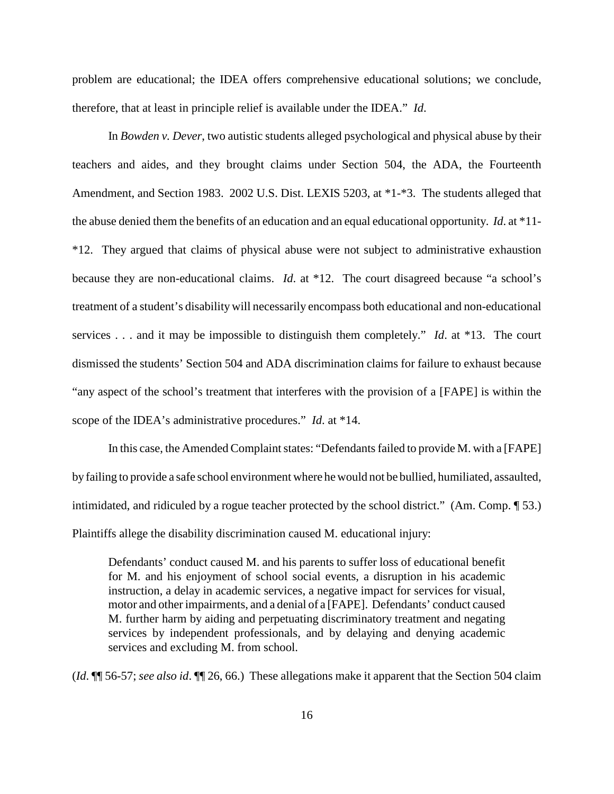problem are educational; the IDEA offers comprehensive educational solutions; we conclude, therefore, that at least in principle relief is available under the IDEA." *Id*.

In *Bowden v. Dever*, two autistic students alleged psychological and physical abuse by their teachers and aides, and they brought claims under Section 504, the ADA, the Fourteenth Amendment, and Section 1983. 2002 U.S. Dist. LEXIS 5203, at \*1-\*3. The students alleged that the abuse denied them the benefits of an education and an equal educational opportunity. *Id*. at \*11- \*12. They argued that claims of physical abuse were not subject to administrative exhaustion because they are non-educational claims. *Id*. at \*12. The court disagreed because "a school's treatment of a student's disability will necessarily encompass both educational and non-educational services . . . and it may be impossible to distinguish them completely." *Id*. at \*13. The court dismissed the students' Section 504 and ADA discrimination claims for failure to exhaust because "any aspect of the school's treatment that interferes with the provision of a [FAPE] is within the scope of the IDEA's administrative procedures." *Id*. at \*14.

In this case, the Amended Complaint states: "Defendants failed to provide M. with a [FAPE] by failing to provide a safe school environment where he would not be bullied, humiliated, assaulted, intimidated, and ridiculed by a rogue teacher protected by the school district." (Am. Comp. ¶ 53.) Plaintiffs allege the disability discrimination caused M. educational injury:

Defendants' conduct caused M. and his parents to suffer loss of educational benefit for M. and his enjoyment of school social events, a disruption in his academic instruction, a delay in academic services, a negative impact for services for visual, motor and other impairments, and a denial of a [FAPE]. Defendants' conduct caused M. further harm by aiding and perpetuating discriminatory treatment and negating services by independent professionals, and by delaying and denying academic services and excluding M. from school.

(*Id*. ¶¶ 56-57; *see also id*. ¶¶ 26, 66.) These allegations make it apparent that the Section 504 claim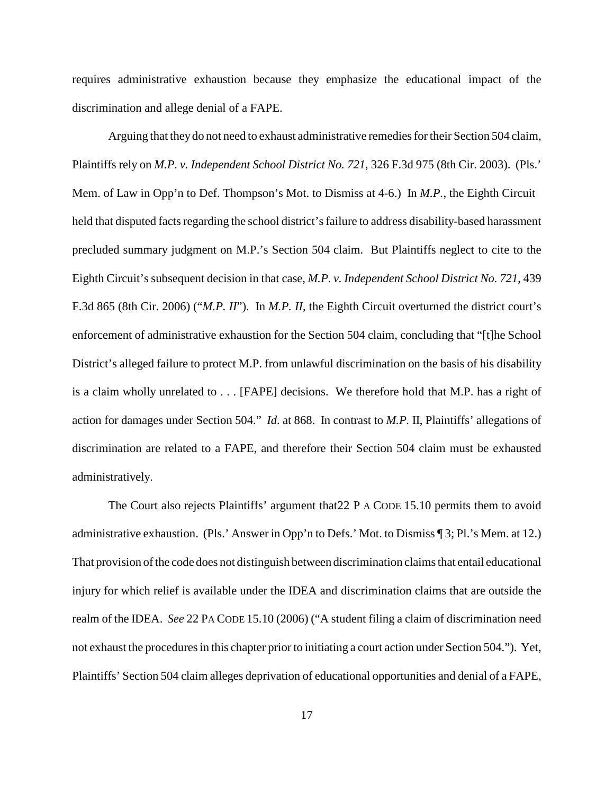requires administrative exhaustion because they emphasize the educational impact of the discrimination and allege denial of a FAPE.

Arguing that they do not need to exhaust administrative remedies for their Section 504 claim, Plaintiffs rely on *M.P. v. Independent School District No. 721*, 326 F.3d 975 (8th Cir. 2003). (Pls.' Mem. of Law in Opp'n to Def. Thompson's Mot. to Dismiss at 4-6.) In *M.P.*, the Eighth Circuit held that disputed facts regarding the school district's failure to address disability-based harassment precluded summary judgment on M.P.'s Section 504 claim. But Plaintiffs neglect to cite to the Eighth Circuit's subsequent decision in that case, *M.P. v. Independent School District No. 721*, 439 F.3d 865 (8th Cir. 2006) ("*M.P. II*"). In *M.P. II*, the Eighth Circuit overturned the district court's enforcement of administrative exhaustion for the Section 504 claim, concluding that "[t]he School District's alleged failure to protect M.P. from unlawful discrimination on the basis of his disability is a claim wholly unrelated to . . . [FAPE] decisions. We therefore hold that M.P. has a right of action for damages under Section 504." *Id*. at 868. In contrast to *M.P.* II, Plaintiffs' allegations of discrimination are related to a FAPE, and therefore their Section 504 claim must be exhausted administratively.

The Court also rejects Plaintiffs' argument that  $22$  P A CODE 15.10 permits them to avoid administrative exhaustion. (Pls.' Answer in Opp'n to Defs.' Mot. to Dismiss ¶ 3; Pl.'s Mem. at 12.) That provision of the code does not distinguish between discrimination claims that entail educational injury for which relief is available under the IDEA and discrimination claims that are outside the realm of the IDEA. *See* 22 PA CODE 15.10 (2006) ("A student filing a claim of discrimination need not exhaust the procedures in this chapter prior to initiating a court action under Section 504."). Yet, Plaintiffs' Section 504 claim alleges deprivation of educational opportunities and denial of a FAPE,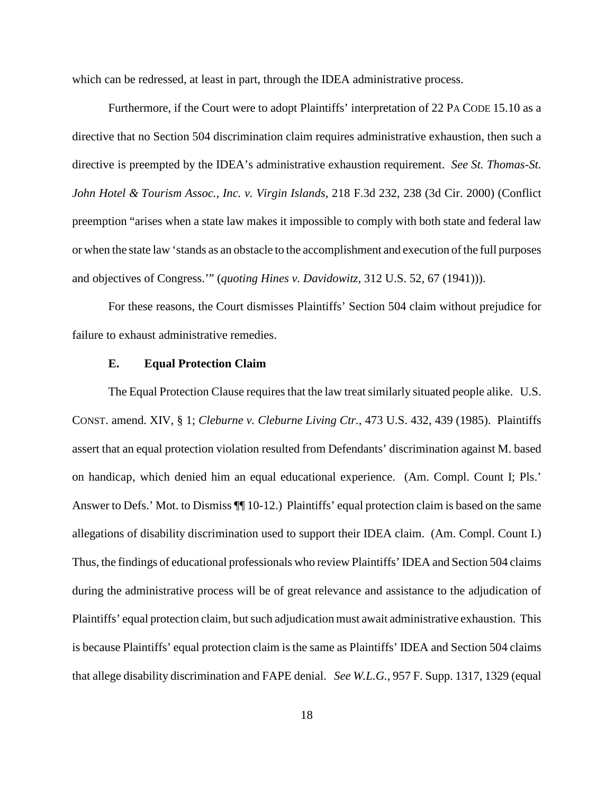which can be redressed, at least in part, through the IDEA administrative process.

Furthermore, if the Court were to adopt Plaintiffs' interpretation of 22 PA CODE 15.10 as a directive that no Section 504 discrimination claim requires administrative exhaustion, then such a directive is preempted by the IDEA's administrative exhaustion requirement. *See St. Thomas-St. John Hotel & Tourism Assoc., Inc. v. Virgin Islands*, 218 F.3d 232, 238 (3d Cir. 2000) (Conflict preemption "arises when a state law makes it impossible to comply with both state and federal law or when the state law 'stands as an obstacle to the accomplishment and execution ofthe full purposes and objectives of Congress.'" (*quoting Hines v. Davidowitz*, 312 U.S. 52, 67 (1941))).

For these reasons, the Court dismisses Plaintiffs' Section 504 claim without prejudice for failure to exhaust administrative remedies.

#### **E. Equal Protection Claim**

The Equal Protection Clause requires that the law treat similarly situated people alike. U.S. CONST. amend. XIV, § 1; *Cleburne v. Cleburne Living Ctr.*, 473 U.S. 432, 439 (1985). Plaintiffs assert that an equal protection violation resulted from Defendants' discrimination against M. based on handicap, which denied him an equal educational experience. (Am. Compl. Count I; Pls.' Answer to Defs.' Mot. to Dismiss ¶¶ 10-12.) Plaintiffs' equal protection claim is based on the same allegations of disability discrimination used to support their IDEA claim. (Am. Compl. Count I.) Thus, the findings of educational professionals who review Plaintiffs' IDEA and Section 504 claims during the administrative process will be of great relevance and assistance to the adjudication of Plaintiffs' equal protection claim, but such adjudication must await administrative exhaustion. This is because Plaintiffs' equal protection claim is the same as Plaintiffs' IDEA and Section 504 claims that allege disability discrimination and FAPE denial. *See W.L.G.*, 957 F. Supp. 1317, 1329 (equal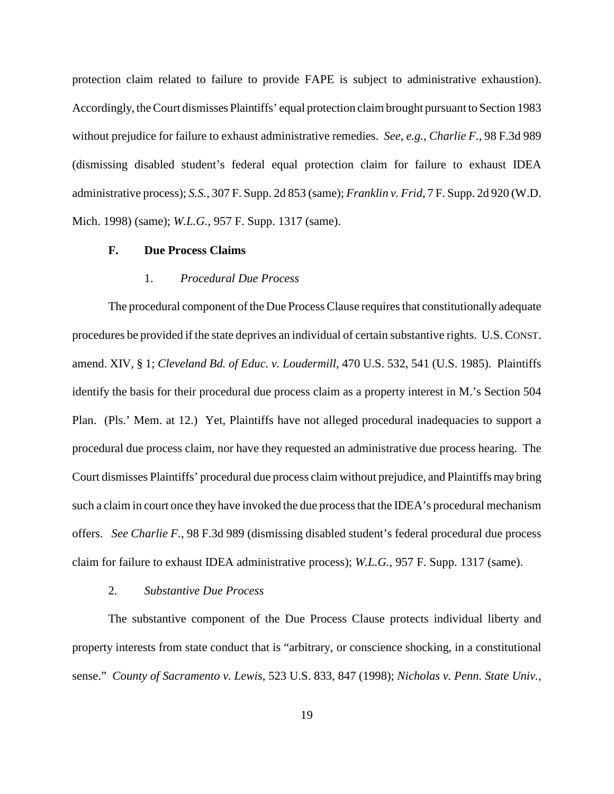protection claim related to failure to provide FAPE is subject to administrative exhaustion). Accordingly, theCourt dismisses Plaintiffs' equal protection claim brought pursuant to Section 1983 without prejudice for failure to exhaust administrative remedies. *See, e.g.*, *Charlie F.*, 98 F.3d 989 (dismissing disabled student's federal equal protection claim for failure to exhaust IDEA administrative process); *S.S.*, 307 F. Supp. 2d 853 (same); *Franklin v. Frid*, 7 F. Supp. 2d 920 (W.D. Mich. 1998) (same); *W.L.G.*, 957 F. Supp. 1317 (same).

### **F. Due Process Claims**

#### 1. *Procedural Due Process*

The procedural component of the Due Process Clause requires that constitutionally adequate procedures be provided if the state deprives an individual of certain substantive rights. U.S. CONST. amend. XIV, § 1; *Cleveland Bd. of Educ. v. Loudermill*, 470 U.S. 532, 541 (U.S. 1985). Plaintiffs identify the basis for their procedural due process claim as a property interest in M.'s Section 504 Plan. (Pls.' Mem. at 12.) Yet, Plaintiffs have not alleged procedural inadequacies to support a procedural due process claim, nor have they requested an administrative due process hearing. The Court dismisses Plaintiffs' procedural due process claim without prejudice, and Plaintiffs may bring such a claim in court once they have invoked the due processthat the IDEA's procedural mechanism offers. *See Charlie F.*, 98 F.3d 989 (dismissing disabled student's federal procedural due process claim for failure to exhaust IDEA administrative process); *W.L.G.*, 957 F. Supp. 1317 (same).

#### 2. *Substantive Due Process*

The substantive component of the Due Process Clause protects individual liberty and property interests from state conduct that is "arbitrary, or conscience shocking, in a constitutional sense." *County of Sacramento v. Lewis*, 523 U.S. 833, 847 (1998); *Nicholas v. Penn. State Univ.*,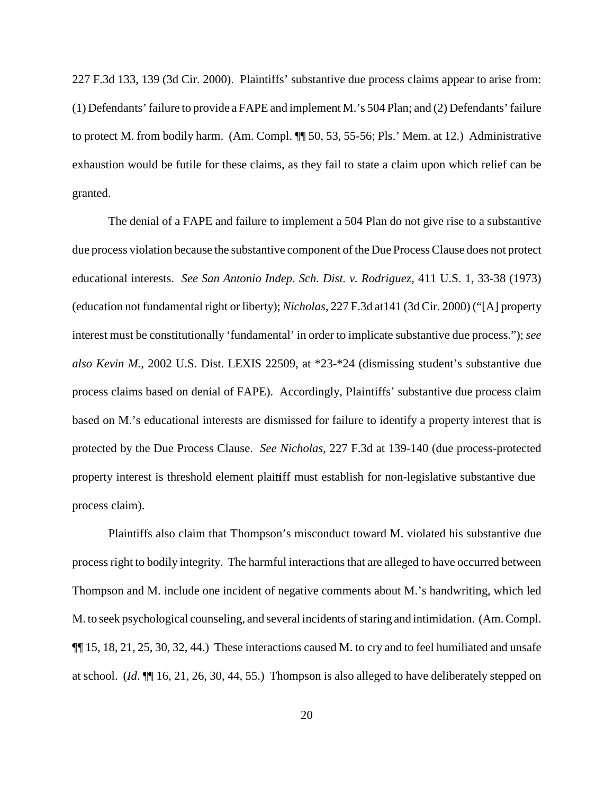227 F.3d 133, 139 (3d Cir. 2000). Plaintiffs' substantive due process claims appear to arise from: (1) Defendants'failure to provide a FAPE and implement M.'s 504 Plan; and (2) Defendants' failure to protect M. from bodily harm. (Am. Compl. ¶¶ 50, 53, 55-56; Pls.' Mem. at 12.) Administrative exhaustion would be futile for these claims, as they fail to state a claim upon which relief can be granted.

The denial of a FAPE and failure to implement a 504 Plan do not give rise to a substantive due process violation because the substantive component of the Due ProcessClause does not protect educational interests. *See San Antonio Indep. Sch. Dist. v. Rodriguez*, 411 U.S. 1, 33-38 (1973) (education not fundamental right or liberty); *Nicholas*, 227 F.3d at141 (3d Cir. 2000) ("[A] property interest must be constitutionally 'fundamental' in order to implicate substantive due process."); *see also Kevin M.*, 2002 U.S. Dist. LEXIS 22509, at \*23-\*24 (dismissing student's substantive due process claims based on denial of FAPE). Accordingly, Plaintiffs' substantive due process claim based on M.'s educational interests are dismissed for failure to identify a property interest that is protected by the Due Process Clause. *See Nicholas*, 227 F.3d at 139-140 (due process-protected property interest is threshold element plaintiff must establish for non-legislative substantive due process claim).

Plaintiffs also claim that Thompson's misconduct toward M. violated his substantive due process right to bodily integrity. The harmful interactions that are alleged to have occurred between Thompson and M. include one incident of negative comments about M.'s handwriting, which led M. to seek psychological counseling, and several incidents of staring and intimidation. (Am. Compl.) ¶¶ 15, 18, 21, 25, 30, 32, 44.) These interactions caused M. to cry and to feel humiliated and unsafe at school. (*Id*. ¶¶ 16, 21, 26, 30, 44, 55.) Thompson is also alleged to have deliberately stepped on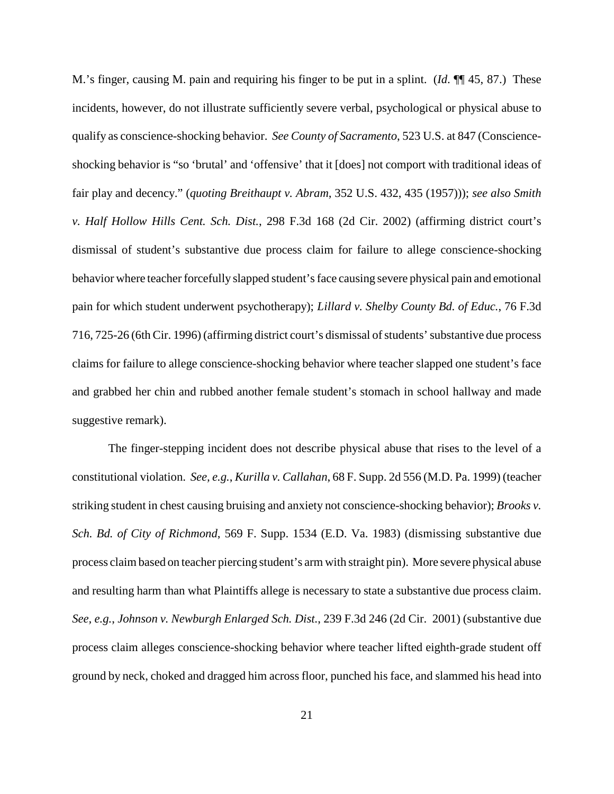M.'s finger, causing M. pain and requiring his finger to be put in a splint. (*Id*. ¶¶ 45, 87.) These incidents, however, do not illustrate sufficiently severe verbal, psychological or physical abuse to qualify as conscience-shocking behavior. *See County of Sacramento*, 523 U.S. at 847 (Conscienceshocking behavior is "so 'brutal' and 'offensive' that it [does] not comport with traditional ideas of fair play and decency." (*quoting Breithaupt v. Abram*, 352 U.S. 432, 435 (1957))); *see also Smith v. Half Hollow Hills Cent. Sch. Dist.*, 298 F.3d 168 (2d Cir. 2002) (affirming district court's dismissal of student's substantive due process claim for failure to allege conscience-shocking behavior where teacher forcefully slapped student'sface causing severe physical pain and emotional pain for which student underwent psychotherapy); *Lillard v. Shelby County Bd. of Educ.*, 76 F.3d 716, 725-26 (6th Cir. 1996) (affirming district court's dismissal of students' substantive due process claims for failure to allege conscience-shocking behavior where teacher slapped one student's face and grabbed her chin and rubbed another female student's stomach in school hallway and made suggestive remark).

The finger-stepping incident does not describe physical abuse that rises to the level of a constitutional violation. *See, e.g.*, *Kurilla v. Callahan*, 68 F. Supp. 2d 556 (M.D. Pa. 1999) (teacher striking student in chest causing bruising and anxiety not conscience-shocking behavior); *Brooks v. Sch. Bd. of City of Richmond*, 569 F. Supp. 1534 (E.D. Va. 1983) (dismissing substantive due process claimbased on teacher piercing student's arm with straight pin). More severe physical abuse and resulting harm than what Plaintiffs allege is necessary to state a substantive due process claim. *See, e.g.*, *Johnson v. Newburgh Enlarged Sch. Dist.*, 239 F.3d 246 (2d Cir. 2001) (substantive due process claim alleges conscience-shocking behavior where teacher lifted eighth-grade student off ground by neck, choked and dragged him across floor, punched his face, and slammed his head into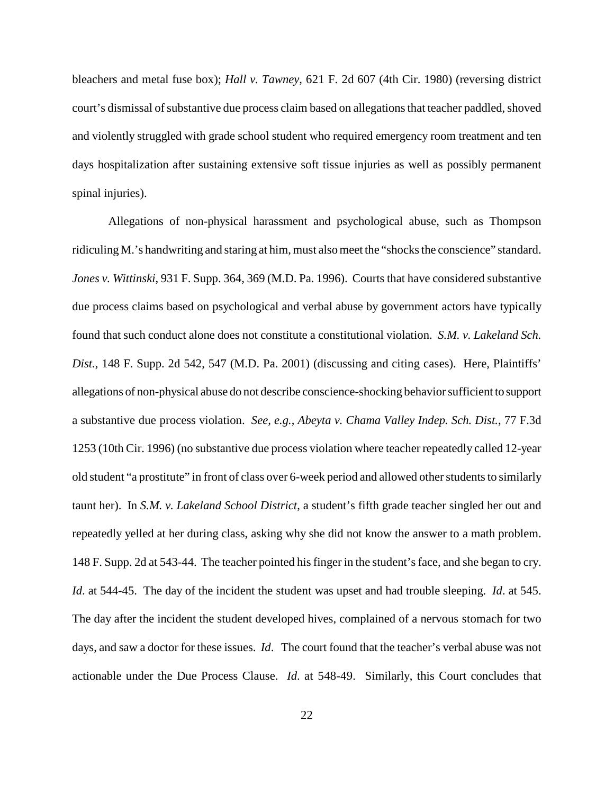bleachers and metal fuse box); *Hall v. Tawney*, 621 F. 2d 607 (4th Cir. 1980) (reversing district court's dismissal of substantive due process claim based on allegations that teacher paddled, shoved and violently struggled with grade school student who required emergency room treatment and ten days hospitalization after sustaining extensive soft tissue injuries as well as possibly permanent spinal injuries).

Allegations of non-physical harassment and psychological abuse, such as Thompson ridiculing M.'s handwriting and staring at him, must also meet the "shocks the conscience" standard. *Jones v. Wittinski*, 931 F. Supp. 364, 369 (M.D. Pa. 1996). Courts that have considered substantive due process claims based on psychological and verbal abuse by government actors have typically found that such conduct alone does not constitute a constitutional violation. *S.M. v. Lakeland Sch. Dist.*, 148 F. Supp. 2d 542, 547 (M.D. Pa. 2001) (discussing and citing cases). Here, Plaintiffs' allegations of non-physical abuse do not describe conscience-shocking behavior sufficient to support a substantive due process violation. *See, e.g.*, *Abeyta v. Chama Valley Indep. Sch. Dist.*, 77 F.3d 1253 (10th Cir. 1996) (no substantive due process violation where teacher repeatedly called 12-year old student "a prostitute" in front of class over 6-week period and allowed otherstudentsto similarly taunt her). In *S.M. v. Lakeland School District*, a student's fifth grade teacher singled her out and repeatedly yelled at her during class, asking why she did not know the answer to a math problem. 148 F. Supp. 2d at 543-44. The teacher pointed his finger in the student's face, and she began to cry. *Id*. at 544-45. The day of the incident the student was upset and had trouble sleeping. *Id*. at 545. The day after the incident the student developed hives, complained of a nervous stomach for two days, and saw a doctor for these issues. *Id*. The court found that the teacher's verbal abuse was not actionable under the Due Process Clause. *Id*. at 548-49. Similarly, this Court concludes that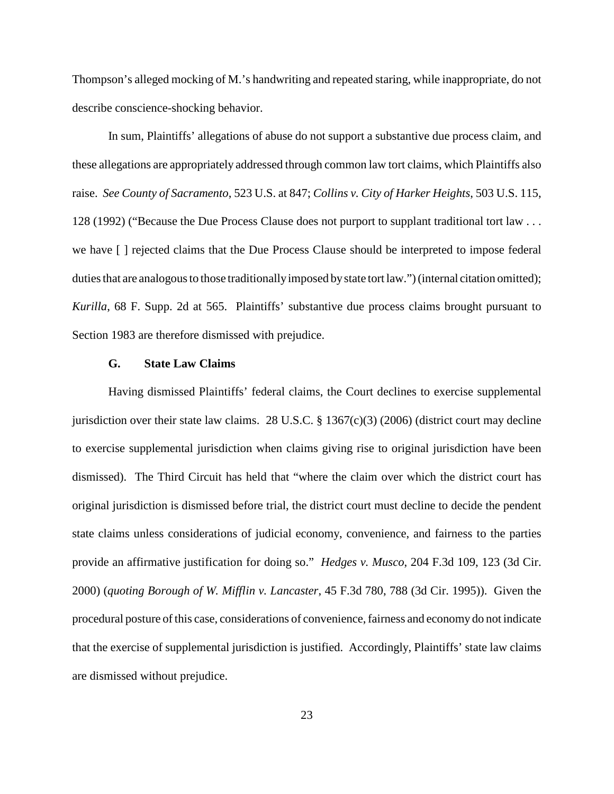Thompson's alleged mocking of M.'s handwriting and repeated staring, while inappropriate, do not describe conscience-shocking behavior.

In sum, Plaintiffs' allegations of abuse do not support a substantive due process claim, and these allegations are appropriately addressed through common law tort claims, which Plaintiffs also raise. *See County of Sacramento*, 523 U.S. at 847; *Collins v. City of Harker Heights*, 503 U.S. 115, 128 (1992) ("Because the Due Process Clause does not purport to supplant traditional tort law . . . we have [ ] rejected claims that the Due Process Clause should be interpreted to impose federal duties that are analogous to those traditionally imposed by state tort law.") (internal citation omitted); *Kurilla*, 68 F. Supp. 2d at 565. Plaintiffs' substantive due process claims brought pursuant to Section 1983 are therefore dismissed with prejudice.

#### **G. State Law Claims**

Having dismissed Plaintiffs' federal claims, the Court declines to exercise supplemental jurisdiction over their state law claims. 28 U.S.C.  $\S$  1367(c)(3) (2006) (district court may decline to exercise supplemental jurisdiction when claims giving rise to original jurisdiction have been dismissed). The Third Circuit has held that "where the claim over which the district court has original jurisdiction is dismissed before trial, the district court must decline to decide the pendent state claims unless considerations of judicial economy, convenience, and fairness to the parties provide an affirmative justification for doing so." *Hedges v. Musco*, 204 F.3d 109, 123 (3d Cir. 2000) (*quoting Borough of W. Mifflin v. Lancaster*, 45 F.3d 780, 788 (3d Cir. 1995)). Given the procedural posture of this case, considerations of convenience,fairness and economy do not indicate that the exercise of supplemental jurisdiction is justified. Accordingly, Plaintiffs' state law claims are dismissed without prejudice.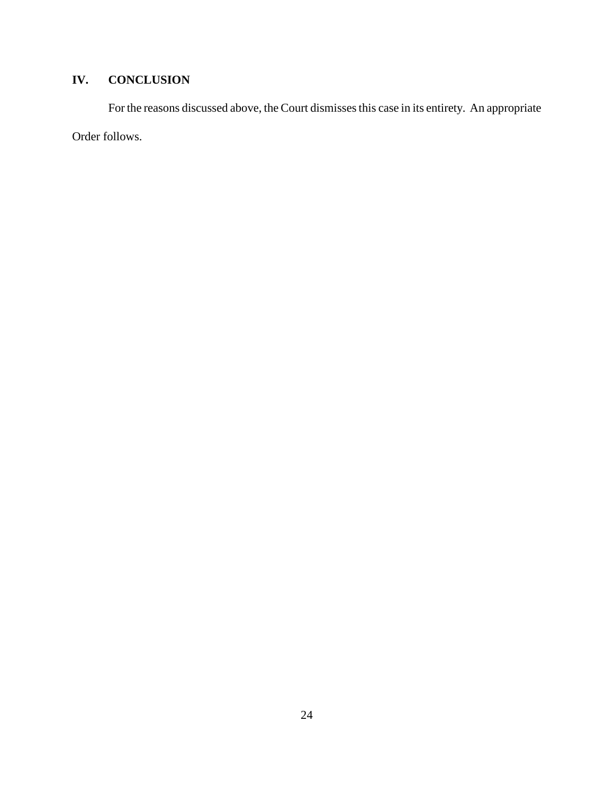# **IV. CONCLUSION**

For the reasons discussed above, the Court dismisses this case in its entirety. An appropriate Order follows.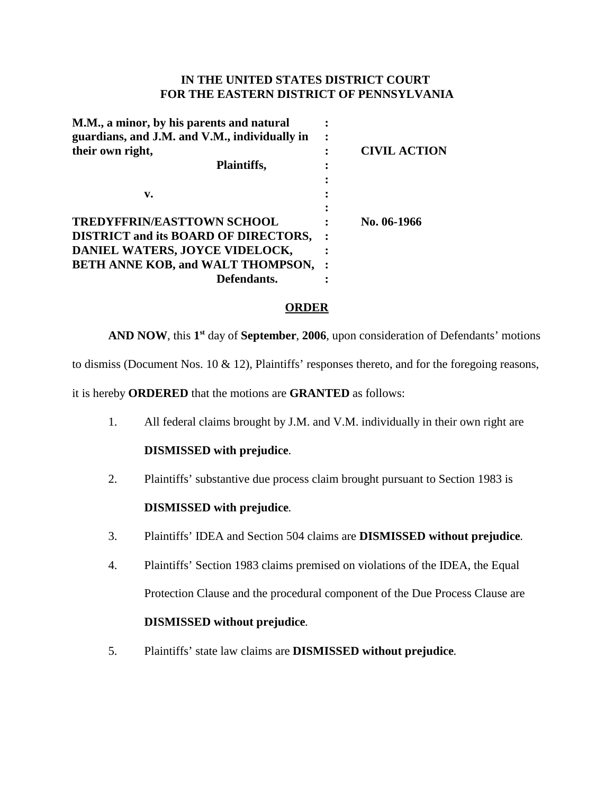# **IN THE UNITED STATES DISTRICT COURT FOR THE EASTERN DISTRICT OF PENNSYLVANIA**

| M.M., a minor, by his parents and natural<br>guardians, and J.M. and V.M., individually in | ٠ |                     |
|--------------------------------------------------------------------------------------------|---|---------------------|
| their own right,<br>Plaintiffs,                                                            |   | <b>CIVIL ACTION</b> |
|                                                                                            |   |                     |
| v.                                                                                         |   |                     |
| <b>TREDYFFRIN/EASTTOWN SCHOOL</b>                                                          |   | No. 06-1966         |
| <b>DISTRICT and its BOARD OF DIRECTORS,</b>                                                |   |                     |
| DANIEL WATERS, JOYCE VIDELOCK,                                                             |   |                     |
| <b>BETH ANNE KOB, and WALT THOMPSON,</b>                                                   |   |                     |
| Defendants.                                                                                |   |                     |
|                                                                                            |   |                     |

#### **ORDER**

**AND NOW**, this **1st** day of **September**, **2006**, upon consideration of Defendants' motions

to dismiss (Document Nos. 10 & 12), Plaintiffs' responses thereto, and for the foregoing reasons,

it is hereby **ORDERED** that the motions are **GRANTED** as follows:

1. All federal claims brought by J.M. and V.M. individually in their own right are

# **DISMISSED with prejudice**.

2. Plaintiffs' substantive due process claim brought pursuant to Section 1983 is

# **DISMISSED with prejudice**.

- 3. Plaintiffs' IDEA and Section 504 claims are **DISMISSED without prejudice**.
- 4. Plaintiffs' Section 1983 claims premised on violations of the IDEA, the Equal Protection Clause and the procedural component of the Due Process Clause are **DISMISSED without prejudice**.
- 5. Plaintiffs' state law claims are **DISMISSED without prejudice**.